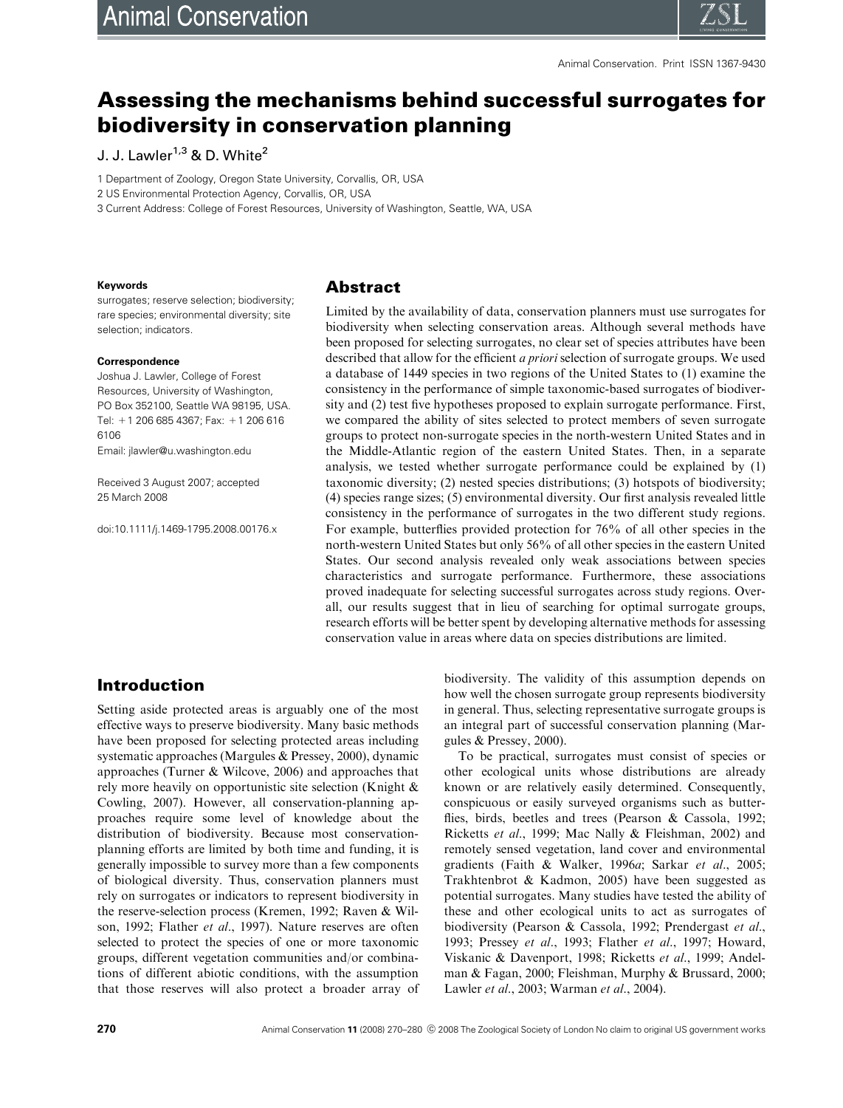

# Assessing the mechanisms behind successful surrogates for biodiversity in conservation planning

J. J. Lawler<sup>1,3</sup> & D. White<sup>2</sup>

1 Department of Zoology, Oregon State University, Corvallis, OR, USA 2 US Environmental Protection Agency, Corvallis, OR, USA

3 Current Address: College of Forest Resources, University of Washington, Seattle, WA, USA

#### **Keywords**

surrogates; reserve selection; biodiversity; rare species; environmental diversity; site selection; indicators.

#### **Correspondence**

Joshua J. Lawler, College of Forest Resources, University of Washington, PO Box 352100, Seattle WA 98195, USA. Tel: +1 206 685 4367; Fax: +1 206 616 6106 Email: jlawler@u.washington.edu

Received 3 August 2007; accepted 25 March 2008

doi:10.1111/j.1469-1795.2008.00176.x

### Abstract

Limited by the availability of data, conservation planners must use surrogates for biodiversity when selecting conservation areas. Although several methods have been proposed for selecting surrogates, no clear set of species attributes have been described that allow for the efficient *a priori* selection of surrogate groups. We used a database of 1449 species in two regions of the United States to (1) examine the consistency in the performance of simple taxonomic-based surrogates of biodiversity and (2) test five hypotheses proposed to explain surrogate performance. First, we compared the ability of sites selected to protect members of seven surrogate groups to protect non-surrogate species in the north-western United States and in the Middle-Atlantic region of the eastern United States. Then, in a separate analysis, we tested whether surrogate performance could be explained by (1) taxonomic diversity; (2) nested species distributions; (3) hotspots of biodiversity; (4) species range sizes; (5) environmental diversity. Our first analysis revealed little consistency in the performance of surrogates in the two different study regions. For example, butterflies provided protection for 76% of all other species in the north-western United States but only 56% of all other species in the eastern United States. Our second analysis revealed only weak associations between species characteristics and surrogate performance. Furthermore, these associations proved inadequate for selecting successful surrogates across study regions. Overall, our results suggest that in lieu of searching for optimal surrogate groups, research efforts will be better spent by developing alternative methods for assessing conservation value in areas where data on species distributions are limited.

## Introduction

Setting aside protected areas is arguably one of the most effective ways to preserve biodiversity. Many basic methods have been proposed for selecting protected areas including systematic approaches (Margules & Pressey, 2000), dynamic approaches (Turner & Wilcove, 2006) and approaches that rely more heavily on opportunistic site selection (Knight & Cowling, 2007). However, all conservation-planning approaches require some level of knowledge about the distribution of biodiversity. Because most conservationplanning efforts are limited by both time and funding, it is generally impossible to survey more than a few components of biological diversity. Thus, conservation planners must rely on surrogates or indicators to represent biodiversity in the reserve-selection process (Kremen, 1992; Raven & Wilson, 1992; Flather et al., 1997). Nature reserves are often selected to protect the species of one or more taxonomic groups, different vegetation communities and/or combinations of different abiotic conditions, with the assumption that those reserves will also protect a broader array of biodiversity. The validity of this assumption depends on how well the chosen surrogate group represents biodiversity in general. Thus, selecting representative surrogate groups is an integral part of successful conservation planning (Margules & Pressey, 2000).

To be practical, surrogates must consist of species or other ecological units whose distributions are already known or are relatively easily determined. Consequently, conspicuous or easily surveyed organisms such as butterflies, birds, beetles and trees (Pearson & Cassola, 1992; Ricketts et al., 1999; Mac Nally & Fleishman, 2002) and remotely sensed vegetation, land cover and environmental gradients (Faith & Walker, 1996a; Sarkar et al., 2005; Trakhtenbrot & Kadmon, 2005) have been suggested as potential surrogates. Many studies have tested the ability of these and other ecological units to act as surrogates of biodiversity (Pearson & Cassola, 1992; Prendergast et al., 1993; Pressey et al., 1993; Flather et al., 1997; Howard, Viskanic & Davenport, 1998; Ricketts et al., 1999; Andelman & Fagan, 2000; Fleishman, Murphy & Brussard, 2000; Lawler *et al.*, 2003; Warman *et al.*, 2004).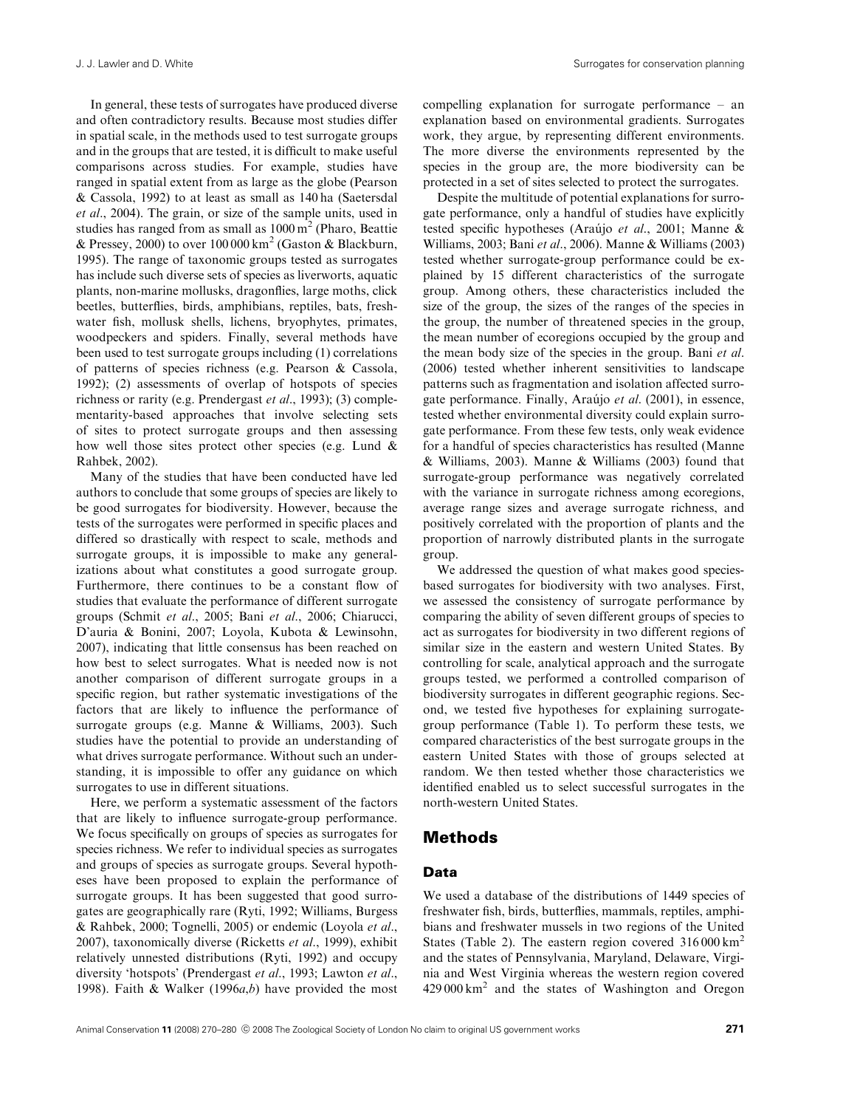In general, these tests of surrogates have produced diverse and often contradictory results. Because most studies differ in spatial scale, in the methods used to test surrogate groups and in the groups that are tested, it is difficult to make useful comparisons across studies. For example, studies have ranged in spatial extent from as large as the globe (Pearson & Cassola, 1992) to at least as small as 140 ha (Saetersdal et al., 2004). The grain, or size of the sample units, used in studies has ranged from as small as  $1000 \text{ m}^2$  (Pharo, Beattie & Pressey, 2000) to over 100 000 km<sup>2</sup> (Gaston & Blackburn, 1995). The range of taxonomic groups tested as surrogates has include such diverse sets of species as liverworts, aquatic plants, non-marine mollusks, dragonflies, large moths, click beetles, butterflies, birds, amphibians, reptiles, bats, freshwater fish, mollusk shells, lichens, bryophytes, primates, woodpeckers and spiders. Finally, several methods have been used to test surrogate groups including (1) correlations of patterns of species richness (e.g. Pearson & Cassola, 1992); (2) assessments of overlap of hotspots of species richness or rarity (e.g. Prendergast et al., 1993); (3) complementarity-based approaches that involve selecting sets of sites to protect surrogate groups and then assessing how well those sites protect other species (e.g. Lund & Rahbek, 2002).

Many of the studies that have been conducted have led authors to conclude that some groups of species are likely to be good surrogates for biodiversity. However, because the tests of the surrogates were performed in specific places and differed so drastically with respect to scale, methods and surrogate groups, it is impossible to make any generalizations about what constitutes a good surrogate group. Furthermore, there continues to be a constant flow of studies that evaluate the performance of different surrogate groups (Schmit et al., 2005; Bani et al., 2006; Chiarucci, D'auria & Bonini, 2007; Loyola, Kubota & Lewinsohn, 2007), indicating that little consensus has been reached on how best to select surrogates. What is needed now is not another comparison of different surrogate groups in a specific region, but rather systematic investigations of the factors that are likely to influence the performance of surrogate groups (e.g. Manne & Williams, 2003). Such studies have the potential to provide an understanding of what drives surrogate performance. Without such an understanding, it is impossible to offer any guidance on which surrogates to use in different situations.

Here, we perform a systematic assessment of the factors that are likely to influence surrogate-group performance. We focus specifically on groups of species as surrogates for species richness. We refer to individual species as surrogates and groups of species as surrogate groups. Several hypotheses have been proposed to explain the performance of surrogate groups. It has been suggested that good surrogates are geographically rare (Ryti, 1992; Williams, Burgess & Rahbek, 2000; Tognelli, 2005) or endemic (Loyola et al., 2007), taxonomically diverse (Ricketts et al., 1999), exhibit relatively unnested distributions (Ryti, 1992) and occupy diversity 'hotspots' (Prendergast et al., 1993; Lawton et al., 1998). Faith & Walker (1996 $a,b$ ) have provided the most compelling explanation for surrogate performance – an explanation based on environmental gradients. Surrogates work, they argue, by representing different environments. The more diverse the environments represented by the species in the group are, the more biodiversity can be protected in a set of sites selected to protect the surrogates.

Despite the multitude of potential explanations for surrogate performance, only a handful of studies have explicitly tested specific hypotheses (Araújo et al., 2001; Manne & Williams, 2003; Bani et al., 2006). Manne & Williams (2003) tested whether surrogate-group performance could be explained by 15 different characteristics of the surrogate group. Among others, these characteristics included the size of the group, the sizes of the ranges of the species in the group, the number of threatened species in the group, the mean number of ecoregions occupied by the group and the mean body size of the species in the group. Bani et al. (2006) tested whether inherent sensitivities to landscape patterns such as fragmentation and isolation affected surrogate performance. Finally, Araújo et al.  $(2001)$ , in essence, tested whether environmental diversity could explain surrogate performance. From these few tests, only weak evidence for a handful of species characteristics has resulted (Manne & Williams, 2003). Manne & Williams (2003) found that surrogate-group performance was negatively correlated with the variance in surrogate richness among ecoregions, average range sizes and average surrogate richness, and positively correlated with the proportion of plants and the proportion of narrowly distributed plants in the surrogate group.

We addressed the question of what makes good speciesbased surrogates for biodiversity with two analyses. First, we assessed the consistency of surrogate performance by comparing the ability of seven different groups of species to act as surrogates for biodiversity in two different regions of similar size in the eastern and western United States. By controlling for scale, analytical approach and the surrogate groups tested, we performed a controlled comparison of biodiversity surrogates in different geographic regions. Second, we tested five hypotheses for explaining surrogategroup performance (Table 1). To perform these tests, we compared characteristics of the best surrogate groups in the eastern United States with those of groups selected at random. We then tested whether those characteristics we identified enabled us to select successful surrogates in the north-western United States.

### Methods

### Data

We used a database of the distributions of 1449 species of freshwater fish, birds, butterflies, mammals, reptiles, amphibians and freshwater mussels in two regions of the United States (Table 2). The eastern region covered  $316000 \text{ km}^2$ and the states of Pennsylvania, Maryland, Delaware, Virginia and West Virginia whereas the western region covered  $429000 \text{ km}^2$  and the states of Washington and Oregon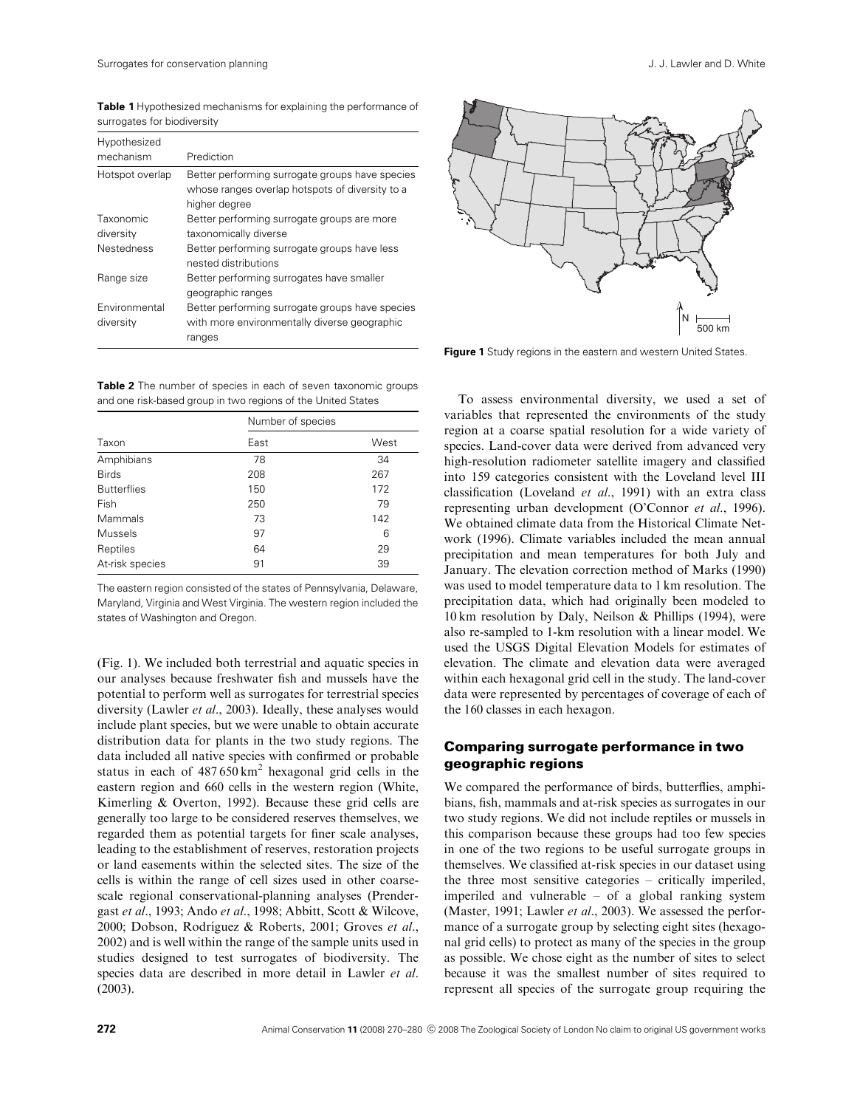**Table 1** Hypothesized mechanisms for explaining the performance of surrogates for biodiversity

| Hypothesized               |                                                                                                                     |
|----------------------------|---------------------------------------------------------------------------------------------------------------------|
| mechanism                  | Prediction                                                                                                          |
| Hotspot overlap            | Better performing surrogate groups have species<br>whose ranges overlap hotspots of diversity to a<br>higher degree |
| Taxonomic<br>diversity     | Better performing surrogate groups are more<br>taxonomically diverse                                                |
| <b>Nestedness</b>          | Better performing surrogate groups have less<br>nested distributions                                                |
| Range size                 | Better performing surrogates have smaller<br>geographic ranges                                                      |
| Environmental<br>diversity | Better performing surrogate groups have species<br>with more environmentally diverse geographic<br>ranges           |

**Table 2** The number of species in each of seven taxonomic groups and one risk-based group in two regions of the United States

|                    | Number of species |      |  |
|--------------------|-------------------|------|--|
| Taxon              | East              | West |  |
| Amphibians         | 78                | 34   |  |
| <b>Birds</b>       | 208               | 267  |  |
| <b>Butterflies</b> | 150               | 172  |  |
| Fish               | 250               | 79   |  |
| Mammals            | 73                | 142  |  |
| Mussels            | 97                | 6    |  |
| Reptiles           | 64                | 29   |  |
| At-risk species    | 91                | 39   |  |

The eastern region consisted of the states of Pennsylvania, Delaware, Maryland, Virginia and West Virginia. The western region included the states of Washington and Oregon.

(Fig. 1). We included both terrestrial and aquatic species in our analyses because freshwater fish and mussels have the potential to perform well as surrogates for terrestrial species diversity (Lawler et al., 2003). Ideally, these analyses would include plant species, but we were unable to obtain accurate distribution data for plants in the two study regions. The data included all native species with confirmed or probable status in each of  $487650 \text{ km}^2$  hexagonal grid cells in the eastern region and 660 cells in the western region (White, Kimerling & Overton, 1992). Because these grid cells are generally too large to be considered reserves themselves, we regarded them as potential targets for finer scale analyses, leading to the establishment of reserves, restoration projects or land easements within the selected sites. The size of the cells is within the range of cell sizes used in other coarsescale regional conservational-planning analyses (Prendergast et al., 1993; Ando et al., 1998; Abbitt, Scott & Wilcove, 2000; Dobson, Rodríguez & Roberts, 2001; Groves et al., 2002) and is well within the range of the sample units used in studies designed to test surrogates of biodiversity. The species data are described in more detail in Lawler et al. (2003).



**Figure 1** Study regions in the eastern and western United States.

To assess environmental diversity, we used a set of variables that represented the environments of the study region at a coarse spatial resolution for a wide variety of species. Land-cover data were derived from advanced very high-resolution radiometer satellite imagery and classified into 159 categories consistent with the Loveland level III classification (Loveland et al., 1991) with an extra class representing urban development (O'Connor et al., 1996). We obtained climate data from the Historical Climate Network (1996). Climate variables included the mean annual precipitation and mean temperatures for both July and January. The elevation correction method of Marks (1990) was used to model temperature data to 1 km resolution. The precipitation data, which had originally been modeled to 10 km resolution by Daly, Neilson & Phillips (1994), were also re-sampled to 1-km resolution with a linear model. We used the USGS Digital Elevation Models for estimates of elevation. The climate and elevation data were averaged within each hexagonal grid cell in the study. The land-cover data were represented by percentages of coverage of each of the 160 classes in each hexagon.

### Comparing surrogate performance in two geographic regions

We compared the performance of birds, butterflies, amphibians, fish, mammals and at-risk species as surrogates in our two study regions. We did not include reptiles or mussels in this comparison because these groups had too few species in one of the two regions to be useful surrogate groups in themselves. We classified at-risk species in our dataset using the three most sensitive categories – critically imperiled, imperiled and vulnerable – of a global ranking system (Master, 1991; Lawler *et al.*, 2003). We assessed the performance of a surrogate group by selecting eight sites (hexagonal grid cells) to protect as many of the species in the group as possible. We chose eight as the number of sites to select because it was the smallest number of sites required to represent all species of the surrogate group requiring the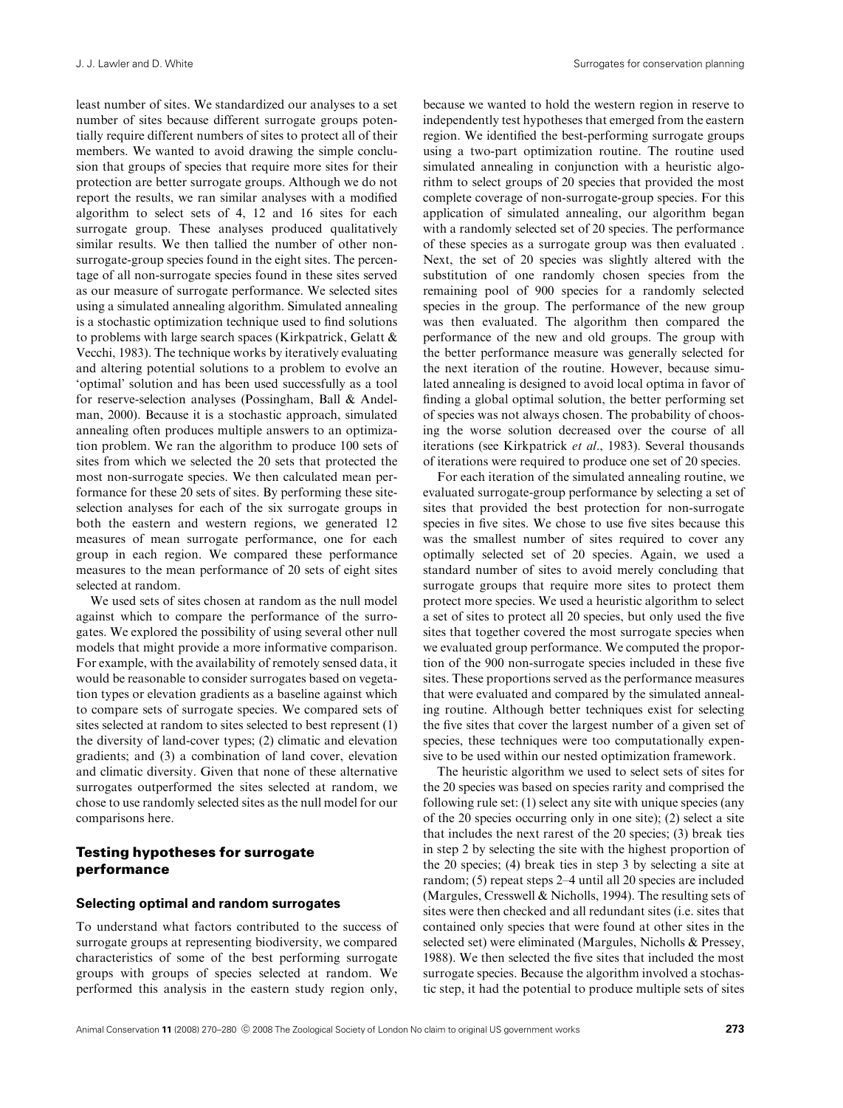least number of sites. We standardized our analyses to a set number of sites because different surrogate groups potentially require different numbers of sites to protect all of their members. We wanted to avoid drawing the simple conclusion that groups of species that require more sites for their protection are better surrogate groups. Although we do not report the results, we ran similar analyses with a modified algorithm to select sets of 4, 12 and 16 sites for each surrogate group. These analyses produced qualitatively similar results. We then tallied the number of other nonsurrogate-group species found in the eight sites. The percentage of all non-surrogate species found in these sites served as our measure of surrogate performance. We selected sites using a simulated annealing algorithm. Simulated annealing is a stochastic optimization technique used to find solutions to problems with large search spaces (Kirkpatrick, Gelatt & Vecchi, 1983). The technique works by iteratively evaluating and altering potential solutions to a problem to evolve an 'optimal' solution and has been used successfully as a tool for reserve-selection analyses (Possingham, Ball & Andelman, 2000). Because it is a stochastic approach, simulated annealing often produces multiple answers to an optimization problem. We ran the algorithm to produce 100 sets of sites from which we selected the 20 sets that protected the most non-surrogate species. We then calculated mean performance for these 20 sets of sites. By performing these siteselection analyses for each of the six surrogate groups in both the eastern and western regions, we generated 12 measures of mean surrogate performance, one for each group in each region. We compared these performance measures to the mean performance of 20 sets of eight sites selected at random.

We used sets of sites chosen at random as the null model against which to compare the performance of the surrogates. We explored the possibility of using several other null models that might provide a more informative comparison. For example, with the availability of remotely sensed data, it would be reasonable to consider surrogates based on vegetation types or elevation gradients as a baseline against which to compare sets of surrogate species. We compared sets of sites selected at random to sites selected to best represent (1) the diversity of land-cover types; (2) climatic and elevation gradients; and (3) a combination of land cover, elevation and climatic diversity. Given that none of these alternative surrogates outperformed the sites selected at random, we chose to use randomly selected sites as the null model for our comparisons here.

### Testing hypotheses for surrogate performance

### **Selecting optimal and random surrogates**

To understand what factors contributed to the success of surrogate groups at representing biodiversity, we compared characteristics of some of the best performing surrogate groups with groups of species selected at random. We performed this analysis in the eastern study region only,

because we wanted to hold the western region in reserve to independently test hypotheses that emerged from the eastern region. We identified the best-performing surrogate groups using a two-part optimization routine. The routine used simulated annealing in conjunction with a heuristic algorithm to select groups of 20 species that provided the most complete coverage of non-surrogate-group species. For this application of simulated annealing, our algorithm began with a randomly selected set of 20 species. The performance of these species as a surrogate group was then evaluated . Next, the set of 20 species was slightly altered with the substitution of one randomly chosen species from the remaining pool of 900 species for a randomly selected species in the group. The performance of the new group was then evaluated. The algorithm then compared the performance of the new and old groups. The group with the better performance measure was generally selected for the next iteration of the routine. However, because simulated annealing is designed to avoid local optima in favor of finding a global optimal solution, the better performing set of species was not always chosen. The probability of choosing the worse solution decreased over the course of all iterations (see Kirkpatrick et al., 1983). Several thousands of iterations were required to produce one set of 20 species.

For each iteration of the simulated annealing routine, we evaluated surrogate-group performance by selecting a set of sites that provided the best protection for non-surrogate species in five sites. We chose to use five sites because this was the smallest number of sites required to cover any optimally selected set of 20 species. Again, we used a standard number of sites to avoid merely concluding that surrogate groups that require more sites to protect them protect more species. We used a heuristic algorithm to select a set of sites to protect all 20 species, but only used the five sites that together covered the most surrogate species when we evaluated group performance. We computed the proportion of the 900 non-surrogate species included in these five sites. These proportions served as the performance measures that were evaluated and compared by the simulated annealing routine. Although better techniques exist for selecting the five sites that cover the largest number of a given set of species, these techniques were too computationally expensive to be used within our nested optimization framework.

The heuristic algorithm we used to select sets of sites for the 20 species was based on species rarity and comprised the following rule set: (1) select any site with unique species (any of the 20 species occurring only in one site); (2) select a site that includes the next rarest of the 20 species; (3) break ties in step 2 by selecting the site with the highest proportion of the 20 species; (4) break ties in step 3 by selecting a site at random; (5) repeat steps 2–4 until all 20 species are included (Margules, Cresswell  $&$  Nicholls, 1994). The resulting sets of sites were then checked and all redundant sites (i.e. sites that contained only species that were found at other sites in the selected set) were eliminated (Margules, Nicholls & Pressey, 1988). We then selected the five sites that included the most surrogate species. Because the algorithm involved a stochastic step, it had the potential to produce multiple sets of sites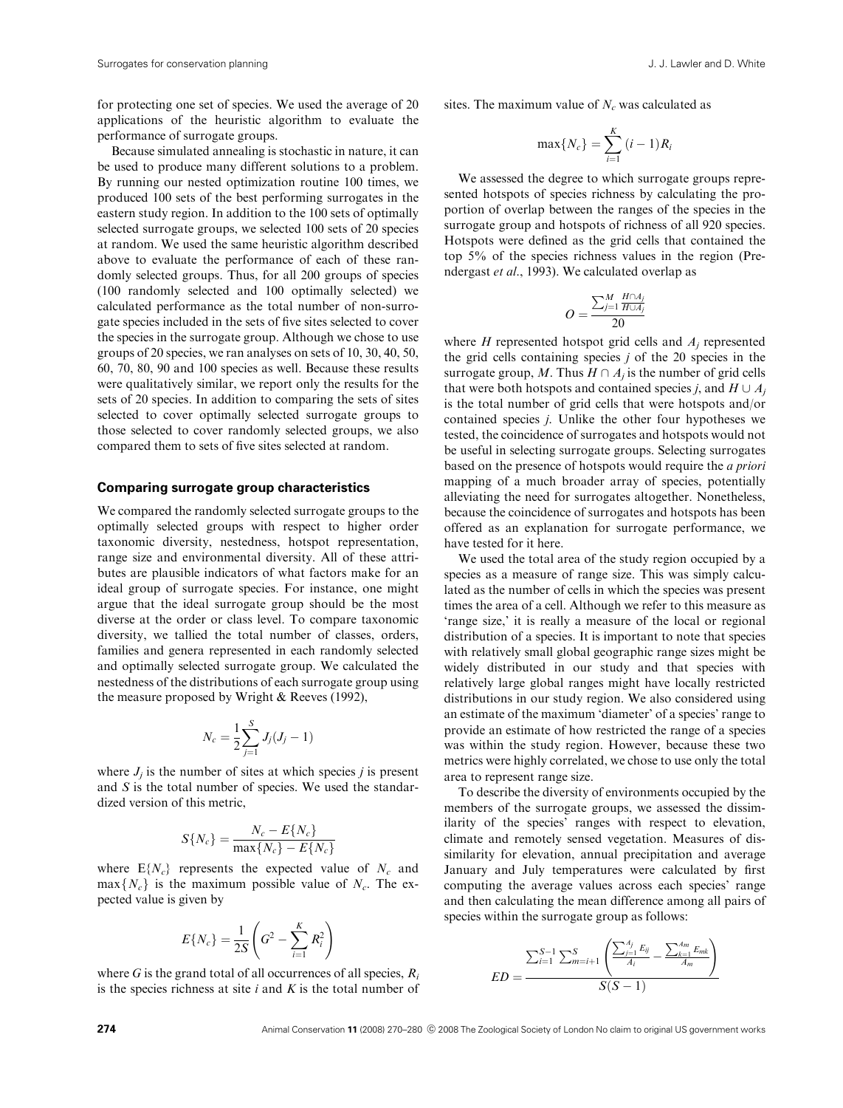for protecting one set of species. We used the average of 20 applications of the heuristic algorithm to evaluate the performance of surrogate groups.

Because simulated annealing is stochastic in nature, it can be used to produce many different solutions to a problem. By running our nested optimization routine 100 times, we produced 100 sets of the best performing surrogates in the eastern study region. In addition to the 100 sets of optimally selected surrogate groups, we selected 100 sets of 20 species at random. We used the same heuristic algorithm described above to evaluate the performance of each of these randomly selected groups. Thus, for all 200 groups of species (100 randomly selected and 100 optimally selected) we calculated performance as the total number of non-surrogate species included in the sets of five sites selected to cover the species in the surrogate group. Although we chose to use groups of 20 species, we ran analyses on sets of 10, 30, 40, 50, 60, 70, 80, 90 and 100 species as well. Because these results were qualitatively similar, we report only the results for the sets of 20 species. In addition to comparing the sets of sites selected to cover optimally selected surrogate groups to those selected to cover randomly selected groups, we also compared them to sets of five sites selected at random.

#### **Comparing surrogate group characteristics**

We compared the randomly selected surrogate groups to the optimally selected groups with respect to higher order taxonomic diversity, nestedness, hotspot representation, range size and environmental diversity. All of these attributes are plausible indicators of what factors make for an ideal group of surrogate species. For instance, one might argue that the ideal surrogate group should be the most diverse at the order or class level. To compare taxonomic diversity, we tallied the total number of classes, orders, families and genera represented in each randomly selected and optimally selected surrogate group. We calculated the nestedness of the distributions of each surrogate group using the measure proposed by Wright & Reeves (1992),

$$
N_c = \frac{1}{2} \sum_{j=1}^{S} J_j (J_j - 1)
$$

where  $J_i$  is the number of sites at which species j is present and S is the total number of species. We used the standardized version of this metric,

$$
S\{N_c\} = \frac{N_c - E\{N_c\}}{\max\{N_c\} - E\{N_c\}}
$$

where  $E\{N_c\}$  represents the expected value of  $N_c$  and  $\max\{N_c\}$  is the maximum possible value of  $N_c$ . The expected value is given by

$$
E\{N_c\} = \frac{1}{2S} \left(G^2 - \sum_{i=1}^{K} R_i^2\right)
$$

where G is the grand total of all occurrences of all species,  $R_i$ is the species richness at site  $i$  and  $K$  is the total number of sites. The maximum value of  $N_c$  was calculated as

$$
\max\{N_c\} = \sum_{i=1}^K (i-1)R_i
$$

We assessed the degree to which surrogate groups represented hotspots of species richness by calculating the proportion of overlap between the ranges of the species in the surrogate group and hotspots of richness of all 920 species. Hotspots were defined as the grid cells that contained the top 5% of the species richness values in the region (Prendergast et al., 1993). We calculated overlap as

$$
O = \frac{\sum_{j=1}^{M} \frac{H \cap A_j}{H \cup A_j}}{20}
$$

where  $H$  represented hotspot grid cells and  $A_i$  represented the grid cells containing species  $j$  of the 20 species in the surrogate group, M. Thus  $H \cap A_i$  is the number of grid cells that were both hotspots and contained species *i*, and  $H \cup A_i$ is the total number of grid cells that were hotspots and/or contained species j. Unlike the other four hypotheses we tested, the coincidence of surrogates and hotspots would not be useful in selecting surrogate groups. Selecting surrogates based on the presence of hotspots would require the a priori mapping of a much broader array of species, potentially alleviating the need for surrogates altogether. Nonetheless, because the coincidence of surrogates and hotspots has been offered as an explanation for surrogate performance, we have tested for it here.

We used the total area of the study region occupied by a species as a measure of range size. This was simply calculated as the number of cells in which the species was present times the area of a cell. Although we refer to this measure as 'range size,' it is really a measure of the local or regional distribution of a species. It is important to note that species with relatively small global geographic range sizes might be widely distributed in our study and that species with relatively large global ranges might have locally restricted distributions in our study region. We also considered using an estimate of the maximum 'diameter' of a species' range to provide an estimate of how restricted the range of a species was within the study region. However, because these two metrics were highly correlated, we chose to use only the total area to represent range size.

To describe the diversity of environments occupied by the members of the surrogate groups, we assessed the dissimilarity of the species' ranges with respect to elevation, climate and remotely sensed vegetation. Measures of dissimilarity for elevation, annual precipitation and average January and July temperatures were calculated by first computing the average values across each species' range and then calculating the mean difference among all pairs of species within the surrogate group as follows:

$$
ED = \frac{\sum_{i=1}^{S-1} \sum_{m=i+1}^{S} \left( \frac{\sum_{j=1}^{A_j} E_{ij}}{A_i} - \frac{\sum_{k=1}^{A_m} E_{mk}}{A_m} \right)}{S(S-1)}
$$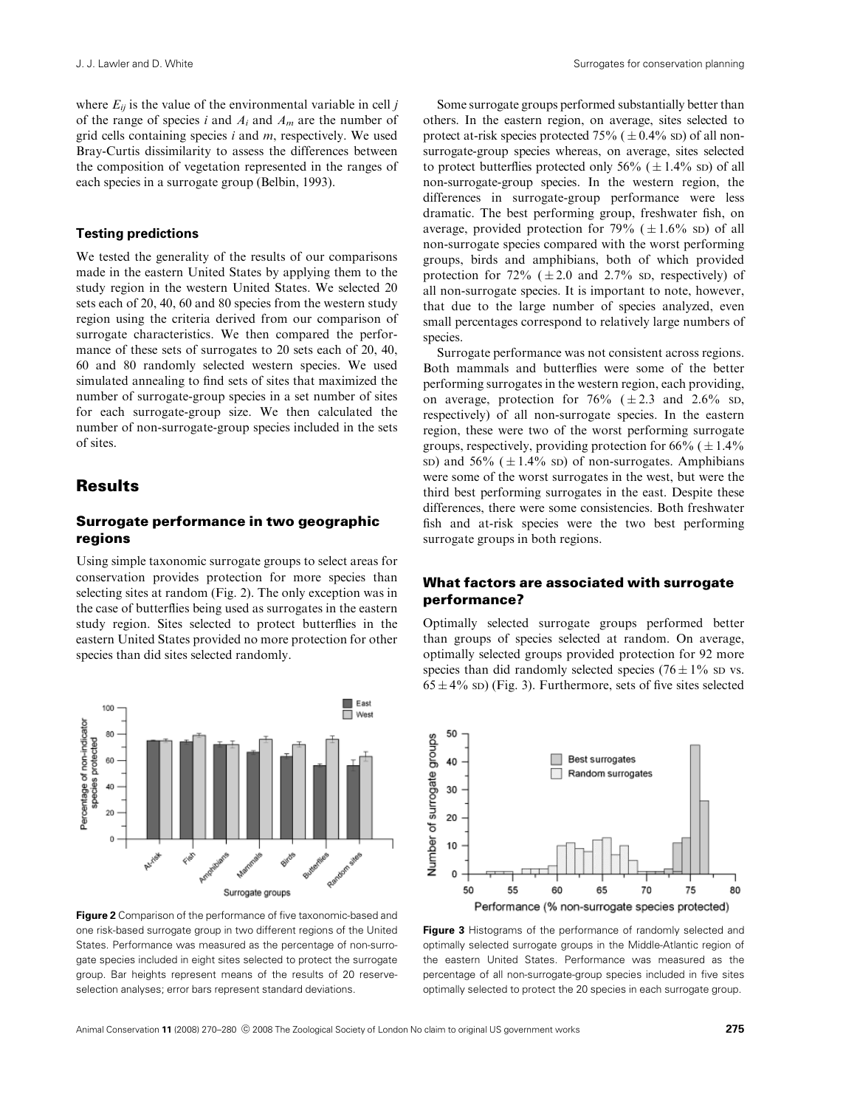where  $E_{ii}$  is the value of the environmental variable in cell j of the range of species i and  $A_i$  and  $A_m$  are the number of grid cells containing species  $i$  and  $m$ , respectively. We used Bray-Curtis dissimilarity to assess the differences between the composition of vegetation represented in the ranges of each species in a surrogate group (Belbin, 1993).

#### **Testing predictions**

We tested the generality of the results of our comparisons made in the eastern United States by applying them to the study region in the western United States. We selected 20 sets each of 20, 40, 60 and 80 species from the western study region using the criteria derived from our comparison of surrogate characteristics. We then compared the performance of these sets of surrogates to 20 sets each of 20, 40, 60 and 80 randomly selected western species. We used simulated annealing to find sets of sites that maximized the number of surrogate-group species in a set number of sites for each surrogate-group size. We then calculated the number of non-surrogate-group species included in the sets of sites.

### Results

### Surrogate performance in two geographic regions

Using simple taxonomic surrogate groups to select areas for conservation provides protection for more species than selecting sites at random (Fig. 2). The only exception was in the case of butterflies being used as surrogates in the eastern study region. Sites selected to protect butterflies in the eastern United States provided no more protection for other species than did sites selected randomly.



**Figure 2** Comparison of the performance of five taxonomic-based and one risk-based surrogate group in two different regions of the United States. Performance was measured as the percentage of non-surrogate species included in eight sites selected to protect the surrogate group. Bar heights represent means of the results of 20 reserveselection analyses; error bars represent standard deviations.

Some surrogate groups performed substantially better than others. In the eastern region, on average, sites selected to protect at-risk species protected  $75\%$  ( $\pm$  0.4% sp) of all nonsurrogate-group species whereas, on average, sites selected to protect butterflies protected only  $56\%$  ( $\pm 1.4\%$  sD) of all non-surrogate-group species. In the western region, the differences in surrogate-group performance were less dramatic. The best performing group, freshwater fish, on average, provided protection for 79% ( $\pm 1.6$ % sp) of all non-surrogate species compared with the worst performing groups, birds and amphibians, both of which provided protection for 72% ( $\pm 2.0$  and 2.7% sp, respectively) of all non-surrogate species. It is important to note, however, that due to the large number of species analyzed, even small percentages correspond to relatively large numbers of species.

Surrogate performance was not consistent across regions. Both mammals and butterflies were some of the better performing surrogates in the western region, each providing, on average, protection for  $76\%$  ( $\pm 2.3$  and  $2.6\%$  sp, respectively) of all non-surrogate species. In the eastern region, these were two of the worst performing surrogate groups, respectively, providing protection for  $66\%$  ( $\pm 1.4\%$ ) sp) and  $56\%$  ( $\pm 1.4\%$  sp) of non-surrogates. Amphibians were some of the worst surrogates in the west, but were the third best performing surrogates in the east. Despite these differences, there were some consistencies. Both freshwater fish and at-risk species were the two best performing surrogate groups in both regions.

### What factors are associated with surrogate performance?

Optimally selected surrogate groups performed better than groups of species selected at random. On average, optimally selected groups provided protection for 92 more species than did randomly selected species (76  $\pm$  1% SD vs.  $65 \pm 4\%$  sp) (Fig. 3). Furthermore, sets of five sites selected



**Figure 3** Histograms of the performance of randomly selected and optimally selected surrogate groups in the Middle-Atlantic region of the eastern United States. Performance was measured as the percentage of all non-surrogate-group species included in five sites optimally selected to protect the 20 species in each surrogate group.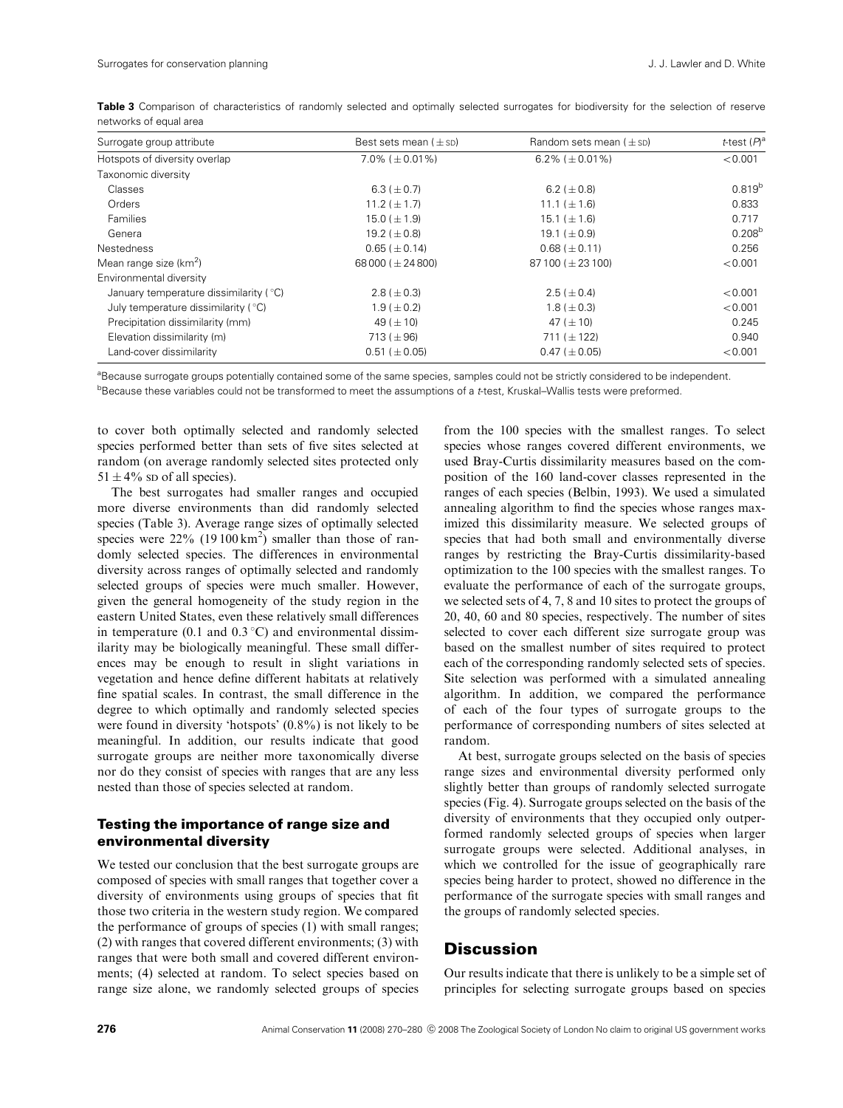| Surrogate group attribute              | Best sets mean $(\pm$ sp) | Random sets mean $(\pm$ sp) | <i>t</i> -test $(P)^a$ |
|----------------------------------------|---------------------------|-----------------------------|------------------------|
| Hotspots of diversity overlap          | 7.0% ( $\pm$ 0.01%)       | 6.2% ( $\pm$ 0.01%)         | < 0.001                |
| Taxonomic diversity                    |                           |                             |                        |
| Classes                                | 6.3 ( $\pm$ 0.7)          | 6.2 ( $\pm$ 0.8)            | $0.819^{b}$            |
| Orders                                 | 11.2 ( $\pm$ 1.7)         | 11.1 ( $\pm$ 1.6)           | 0.833                  |
| Families                               | 15.0 ( $\pm$ 1.9)         | 15.1 ( $\pm$ 1.6)           | 0.717                  |
| Genera                                 | 19.2 ( $\pm$ 0.8)         | 19.1 ( $\pm$ 0.9)           | $0.208^{b}$            |
| <b>Nestedness</b>                      | $0.65$ ( $\pm$ 0.14)      | $0.68$ ( $\pm$ 0.11)        | 0.256                  |
| Mean range size (km <sup>2</sup> )     | 68 000 ( $\pm$ 24 800)    | $87100 \ (\pm 23100)$       | < 0.001                |
| Environmental diversity                |                           |                             |                        |
| January temperature dissimilarity (°C) | $2.8 (\pm 0.3)$           | $2.5 (\pm 0.4)$             | < 0.001                |
| July temperature dissimilarity (°C)    | $1.9 \ (\pm 0.2)$         | $1.8 (\pm 0.3)$             | < 0.001                |
| Precipitation dissimilarity (mm)       | 49 ( $\pm$ 10)            | 47 ( $\pm$ 10)              | 0.245                  |
| Elevation dissimilarity (m)            | 713 ( $\pm$ 96)           | 711 ( $\pm$ 122)            | 0.940                  |
| Land-cover dissimilarity               | $0.51$ ( $\pm$ 0.05)      | $0.47 \ (\pm 0.05)$         | < 0.001                |

Table 3 Comparison of characteristics of randomly selected and optimally selected surrogates for biodiversity for the selection of reserve networks of equal area

<sup>a</sup>Because surrogate groups potentially contained some of the same species, samples could not be strictly considered to be independent. bBecause these variables could not be transformed to meet the assumptions of a *t*-test, Kruskal–Wallis tests were preformed.

to cover both optimally selected and randomly selected species performed better than sets of five sites selected at random (on average randomly selected sites protected only  $51 \pm 4\%$  sp of all species).

The best surrogates had smaller ranges and occupied more diverse environments than did randomly selected species (Table 3). Average range sizes of optimally selected species were  $22\%$  (19 100 km<sup>2</sup>) smaller than those of randomly selected species. The differences in environmental diversity across ranges of optimally selected and randomly selected groups of species were much smaller. However, given the general homogeneity of the study region in the eastern United States, even these relatively small differences in temperature (0.1 and  $0.3 \degree C$ ) and environmental dissimilarity may be biologically meaningful. These small differences may be enough to result in slight variations in vegetation and hence define different habitats at relatively fine spatial scales. In contrast, the small difference in the degree to which optimally and randomly selected species were found in diversity 'hotspots' (0.8%) is not likely to be meaningful. In addition, our results indicate that good surrogate groups are neither more taxonomically diverse nor do they consist of species with ranges that are any less nested than those of species selected at random.

### Testing the importance of range size and environmental diversity

We tested our conclusion that the best surrogate groups are composed of species with small ranges that together cover a diversity of environments using groups of species that fit those two criteria in the western study region. We compared the performance of groups of species (1) with small ranges; (2) with ranges that covered different environments; (3) with ranges that were both small and covered different environments; (4) selected at random. To select species based on range size alone, we randomly selected groups of species from the 100 species with the smallest ranges. To select species whose ranges covered different environments, we used Bray-Curtis dissimilarity measures based on the composition of the 160 land-cover classes represented in the ranges of each species (Belbin, 1993). We used a simulated annealing algorithm to find the species whose ranges maximized this dissimilarity measure. We selected groups of species that had both small and environmentally diverse ranges by restricting the Bray-Curtis dissimilarity-based optimization to the 100 species with the smallest ranges. To evaluate the performance of each of the surrogate groups, we selected sets of 4, 7, 8 and 10 sites to protect the groups of 20, 40, 60 and 80 species, respectively. The number of sites selected to cover each different size surrogate group was based on the smallest number of sites required to protect each of the corresponding randomly selected sets of species. Site selection was performed with a simulated annealing algorithm. In addition, we compared the performance of each of the four types of surrogate groups to the performance of corresponding numbers of sites selected at random.

At best, surrogate groups selected on the basis of species range sizes and environmental diversity performed only slightly better than groups of randomly selected surrogate species (Fig. 4). Surrogate groups selected on the basis of the diversity of environments that they occupied only outperformed randomly selected groups of species when larger surrogate groups were selected. Additional analyses, in which we controlled for the issue of geographically rare species being harder to protect, showed no difference in the performance of the surrogate species with small ranges and the groups of randomly selected species.

# **Discussion**

Our results indicate that there is unlikely to be a simple set of principles for selecting surrogate groups based on species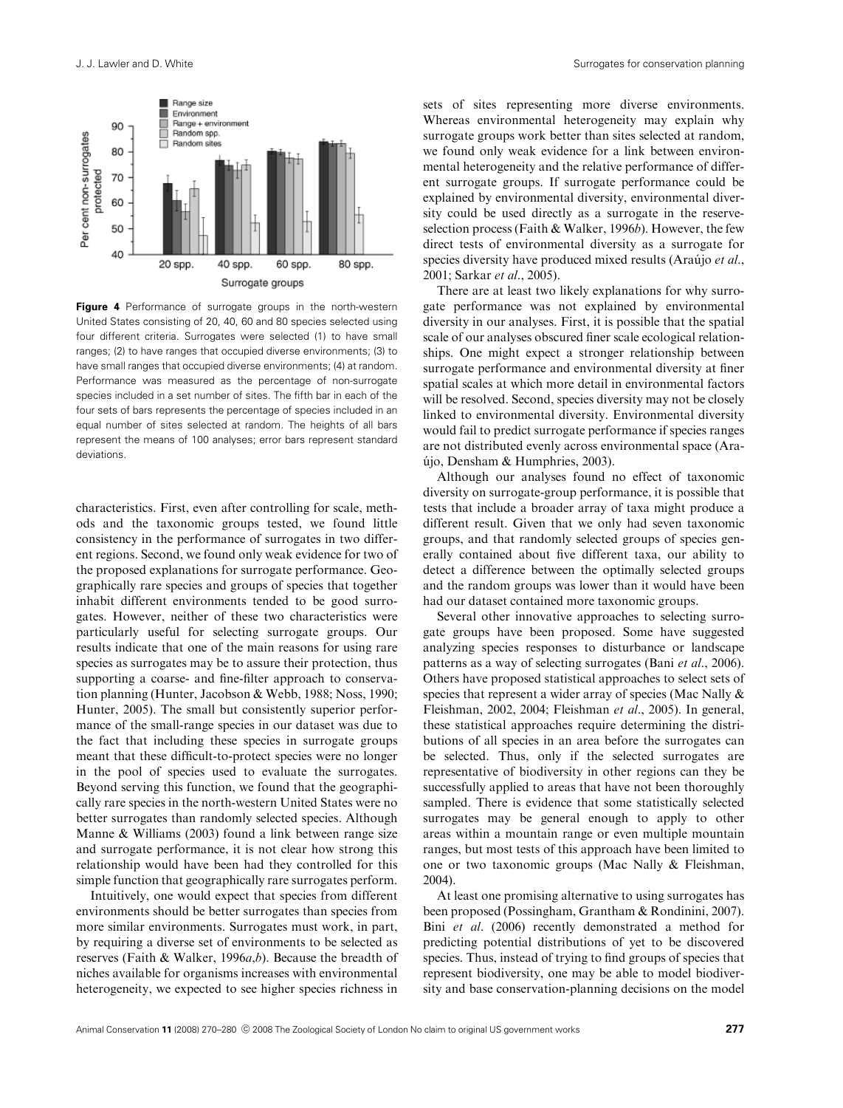

**Figure 4** Performance of surrogate groups in the north-western United States consisting of 20, 40, 60 and 80 species selected using four different criteria. Surrogates were selected (1) to have small ranges; (2) to have ranges that occupied diverse environments; (3) to have small ranges that occupied diverse environments; (4) at random. Performance was measured as the percentage of non-surrogate species included in a set number of sites. The fifth bar in each of the four sets of bars represents the percentage of species included in an equal number of sites selected at random. The heights of all bars represent the means of 100 analyses; error bars represent standard deviations.

characteristics. First, even after controlling for scale, methods and the taxonomic groups tested, we found little consistency in the performance of surrogates in two different regions. Second, we found only weak evidence for two of the proposed explanations for surrogate performance. Geographically rare species and groups of species that together inhabit different environments tended to be good surrogates. However, neither of these two characteristics were particularly useful for selecting surrogate groups. Our results indicate that one of the main reasons for using rare species as surrogates may be to assure their protection, thus supporting a coarse- and fine-filter approach to conservation planning (Hunter, Jacobson & Webb, 1988; Noss, 1990; Hunter, 2005). The small but consistently superior performance of the small-range species in our dataset was due to the fact that including these species in surrogate groups meant that these difficult-to-protect species were no longer in the pool of species used to evaluate the surrogates. Beyond serving this function, we found that the geographically rare species in the north-western United States were no better surrogates than randomly selected species. Although Manne & Williams (2003) found a link between range size and surrogate performance, it is not clear how strong this relationship would have been had they controlled for this simple function that geographically rare surrogates perform.

Intuitively, one would expect that species from different environments should be better surrogates than species from more similar environments. Surrogates must work, in part, by requiring a diverse set of environments to be selected as reserves (Faith & Walker, 1996a,b). Because the breadth of niches available for organisms increases with environmental heterogeneity, we expected to see higher species richness in sets of sites representing more diverse environments. Whereas environmental heterogeneity may explain why surrogate groups work better than sites selected at random, we found only weak evidence for a link between environmental heterogeneity and the relative performance of different surrogate groups. If surrogate performance could be explained by environmental diversity, environmental diversity could be used directly as a surrogate in the reserveselection process (Faith & Walker, 1996b). However, the few direct tests of environmental diversity as a surrogate for species diversity have produced mixed results (Araújo et al., 2001; Sarkar et al., 2005).

There are at least two likely explanations for why surrogate performance was not explained by environmental diversity in our analyses. First, it is possible that the spatial scale of our analyses obscured finer scale ecological relationships. One might expect a stronger relationship between surrogate performance and environmental diversity at finer spatial scales at which more detail in environmental factors will be resolved. Second, species diversity may not be closely linked to environmental diversity. Environmental diversity would fail to predict surrogate performance if species ranges are not distributed evenly across environmental space (Arau´jo, Densham & Humphries, 2003).

Although our analyses found no effect of taxonomic diversity on surrogate-group performance, it is possible that tests that include a broader array of taxa might produce a different result. Given that we only had seven taxonomic groups, and that randomly selected groups of species generally contained about five different taxa, our ability to detect a difference between the optimally selected groups and the random groups was lower than it would have been had our dataset contained more taxonomic groups.

Several other innovative approaches to selecting surrogate groups have been proposed. Some have suggested analyzing species responses to disturbance or landscape patterns as a way of selecting surrogates (Bani et al., 2006). Others have proposed statistical approaches to select sets of species that represent a wider array of species (Mac Nally  $\&$ Fleishman, 2002, 2004; Fleishman et al., 2005). In general, these statistical approaches require determining the distributions of all species in an area before the surrogates can be selected. Thus, only if the selected surrogates are representative of biodiversity in other regions can they be successfully applied to areas that have not been thoroughly sampled. There is evidence that some statistically selected surrogates may be general enough to apply to other areas within a mountain range or even multiple mountain ranges, but most tests of this approach have been limited to one or two taxonomic groups (Mac Nally & Fleishman, 2004).

At least one promising alternative to using surrogates has been proposed (Possingham, Grantham & Rondinini, 2007). Bini et al. (2006) recently demonstrated a method for predicting potential distributions of yet to be discovered species. Thus, instead of trying to find groups of species that represent biodiversity, one may be able to model biodiversity and base conservation-planning decisions on the model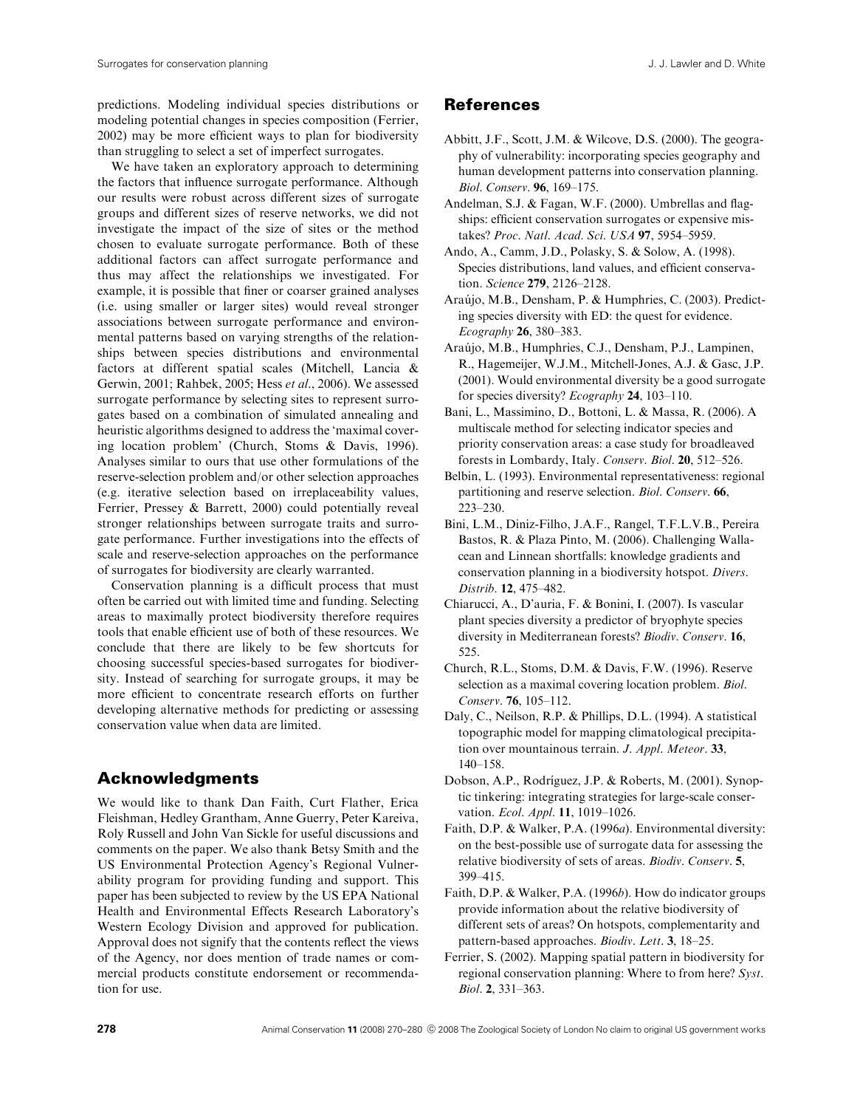predictions. Modeling individual species distributions or modeling potential changes in species composition (Ferrier, 2002) may be more efficient ways to plan for biodiversity than struggling to select a set of imperfect surrogates.

We have taken an exploratory approach to determining the factors that influence surrogate performance. Although our results were robust across different sizes of surrogate groups and different sizes of reserve networks, we did not investigate the impact of the size of sites or the method chosen to evaluate surrogate performance. Both of these additional factors can affect surrogate performance and thus may affect the relationships we investigated. For example, it is possible that finer or coarser grained analyses (i.e. using smaller or larger sites) would reveal stronger associations between surrogate performance and environmental patterns based on varying strengths of the relationships between species distributions and environmental factors at different spatial scales (Mitchell, Lancia & Gerwin, 2001; Rahbek, 2005; Hess et al., 2006). We assessed surrogate performance by selecting sites to represent surrogates based on a combination of simulated annealing and heuristic algorithms designed to address the 'maximal covering location problem' (Church, Stoms & Davis, 1996). Analyses similar to ours that use other formulations of the reserve-selection problem and/or other selection approaches (e.g. iterative selection based on irreplaceability values, Ferrier, Pressey & Barrett, 2000) could potentially reveal stronger relationships between surrogate traits and surrogate performance. Further investigations into the effects of scale and reserve-selection approaches on the performance of surrogates for biodiversity are clearly warranted.

Conservation planning is a difficult process that must often be carried out with limited time and funding. Selecting areas to maximally protect biodiversity therefore requires tools that enable efficient use of both of these resources. We conclude that there are likely to be few shortcuts for choosing successful species-based surrogates for biodiversity. Instead of searching for surrogate groups, it may be more efficient to concentrate research efforts on further developing alternative methods for predicting or assessing conservation value when data are limited.

# Acknowledgments

We would like to thank Dan Faith, Curt Flather, Erica Fleishman, Hedley Grantham, Anne Guerry, Peter Kareiva, Roly Russell and John Van Sickle for useful discussions and comments on the paper. We also thank Betsy Smith and the US Environmental Protection Agency's Regional Vulnerability program for providing funding and support. This paper has been subjected to review by the US EPA National Health and Environmental Effects Research Laboratory's Western Ecology Division and approved for publication. Approval does not signify that the contents reflect the views of the Agency, nor does mention of trade names or commercial products constitute endorsement or recommendation for use.

# References

- Abbitt, J.F., Scott, J.M. & Wilcove, D.S. (2000). The geography of vulnerability: incorporating species geography and human development patterns into conservation planning. Biol. Conserv. 96, 169–175.
- Andelman, S.J. & Fagan, W.F. (2000). Umbrellas and flagships: efficient conservation surrogates or expensive mistakes? Proc. Natl. Acad. Sci. USA 97, 5954–5959.
- Ando, A., Camm, J.D., Polasky, S. & Solow, A. (1998). Species distributions, land values, and efficient conservation. Science 279, 2126–2128.
- Araújo, M.B., Densham, P. & Humphries, C. (2003). Predicting species diversity with ED: the quest for evidence. Ecography 26, 380–383.
- Arau´jo, M.B., Humphries, C.J., Densham, P.J., Lampinen, R., Hagemeijer, W.J.M., Mitchell-Jones, A.J. & Gasc, J.P. (2001). Would environmental diversity be a good surrogate for species diversity? Ecography 24, 103–110.
- Bani, L., Massimino, D., Bottoni, L. & Massa, R. (2006). A multiscale method for selecting indicator species and priority conservation areas: a case study for broadleaved forests in Lombardy, Italy. Conserv. Biol. 20, 512–526.
- Belbin, L. (1993). Environmental representativeness: regional partitioning and reserve selection. Biol. Conserv. 66, 223–230.
- Bini, L.M., Diniz-Filho, J.A.F., Rangel, T.F.L.V.B., Pereira Bastos, R. & Plaza Pinto, M. (2006). Challenging Wallacean and Linnean shortfalls: knowledge gradients and conservation planning in a biodiversity hotspot. Divers. Distrib. 12, 475–482.
- Chiarucci, A., D'auria, F. & Bonini, I. (2007). Is vascular plant species diversity a predictor of bryophyte species diversity in Mediterranean forests? Biodiv. Conserv. 16, 525.
- Church, R.L., Stoms, D.M. & Davis, F.W. (1996). Reserve selection as a maximal covering location problem. *Biol.* Conserv. 76, 105–112.
- Daly, C., Neilson, R.P. & Phillips, D.L. (1994). A statistical topographic model for mapping climatological precipitation over mountainous terrain. J. Appl. Meteor. 33, 140–158.
- Dobson, A.P., Rodríguez, J.P. & Roberts, M. (2001). Synoptic tinkering: integrating strategies for large-scale conservation. Ecol. Appl. 11, 1019–1026.
- Faith, D.P. & Walker, P.A. (1996a). Environmental diversity: on the best-possible use of surrogate data for assessing the relative biodiversity of sets of areas. Biodiv. Conserv. 5, 399–415.
- Faith, D.P. & Walker, P.A. (1996b). How do indicator groups provide information about the relative biodiversity of different sets of areas? On hotspots, complementarity and pattern-based approaches. Biodiv. Lett. 3, 18–25.
- Ferrier, S. (2002). Mapping spatial pattern in biodiversity for regional conservation planning: Where to from here? Syst. Biol. 2, 331–363.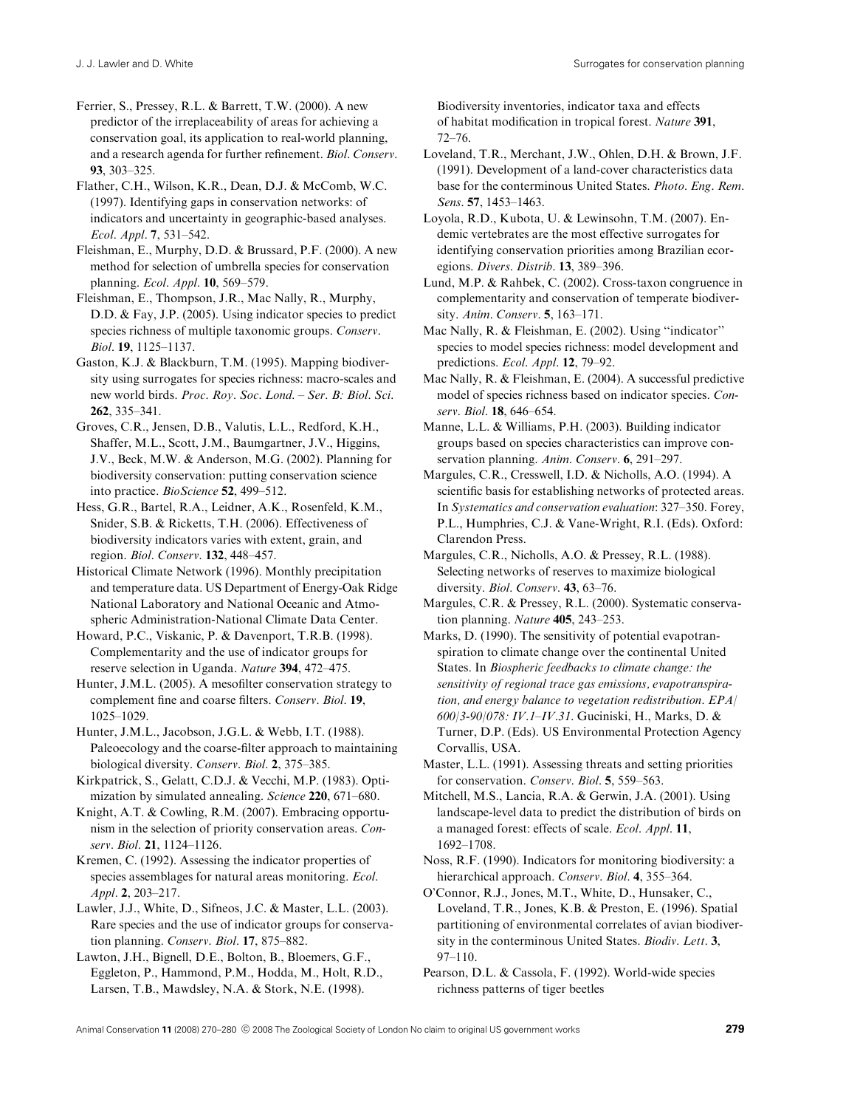Ferrier, S., Pressey, R.L. & Barrett, T.W. (2000). A new predictor of the irreplaceability of areas for achieving a conservation goal, its application to real-world planning, and a research agenda for further refinement. Biol. Conserv. 93, 303–325.

Flather, C.H., Wilson, K.R., Dean, D.J. & McComb, W.C. (1997). Identifying gaps in conservation networks: of indicators and uncertainty in geographic-based analyses. Ecol. Appl. 7, 531–542.

Fleishman, E., Murphy, D.D. & Brussard, P.F. (2000). A new method for selection of umbrella species for conservation planning. Ecol. Appl. 10, 569–579.

Fleishman, E., Thompson, J.R., Mac Nally, R., Murphy, D.D. & Fay, J.P. (2005). Using indicator species to predict species richness of multiple taxonomic groups. Conserv. Biol. 19, 1125–1137.

Gaston, K.J. & Blackburn, T.M. (1995). Mapping biodiversity using surrogates for species richness: macro-scales and new world birds. Proc. Roy. Soc. Lond. – Ser. B: Biol. Sci. 262, 335–341.

Groves, C.R., Jensen, D.B., Valutis, L.L., Redford, K.H., Shaffer, M.L., Scott, J.M., Baumgartner, J.V., Higgins, J.V., Beck, M.W. & Anderson, M.G. (2002). Planning for biodiversity conservation: putting conservation science into practice. BioScience 52, 499–512.

Hess, G.R., Bartel, R.A., Leidner, A.K., Rosenfeld, K.M., Snider, S.B. & Ricketts, T.H. (2006). Effectiveness of biodiversity indicators varies with extent, grain, and region. Biol. Conserv. 132, 448–457.

Historical Climate Network (1996). Monthly precipitation and temperature data. US Department of Energy-Oak Ridge National Laboratory and National Oceanic and Atmospheric Administration-National Climate Data Center.

Howard, P.C., Viskanic, P. & Davenport, T.R.B. (1998). Complementarity and the use of indicator groups for reserve selection in Uganda. Nature 394, 472–475.

Hunter, J.M.L. (2005). A mesofilter conservation strategy to complement fine and coarse filters. Conserv. Biol. 19, 1025–1029.

Hunter, J.M.L., Jacobson, J.G.L. & Webb, I.T. (1988). Paleoecology and the coarse-filter approach to maintaining biological diversity. Conserv. Biol. 2, 375–385.

Kirkpatrick, S., Gelatt, C.D.J. & Vecchi, M.P. (1983). Optimization by simulated annealing. Science 220, 671–680.

Knight, A.T. & Cowling, R.M. (2007). Embracing opportunism in the selection of priority conservation areas. Conserv. Biol. 21, 1124–1126.

Kremen, C. (1992). Assessing the indicator properties of species assemblages for natural areas monitoring. Ecol. Appl. 2, 203–217.

Lawler, J.J., White, D., Sifneos, J.C. & Master, L.L. (2003). Rare species and the use of indicator groups for conservation planning. Conserv. Biol. 17, 875–882.

Lawton, J.H., Bignell, D.E., Bolton, B., Bloemers, G.F., Eggleton, P., Hammond, P.M., Hodda, M., Holt, R.D., Larsen, T.B., Mawdsley, N.A. & Stork, N.E. (1998).

Biodiversity inventories, indicator taxa and effects of habitat modification in tropical forest. Nature 391, 72–76.

Loveland, T.R., Merchant, J.W., Ohlen, D.H. & Brown, J.F. (1991). Development of a land-cover characteristics data base for the conterminous United States. Photo. Eng. Rem. Sens. 57, 1453–1463.

Loyola, R.D., Kubota, U. & Lewinsohn, T.M. (2007). Endemic vertebrates are the most effective surrogates for identifying conservation priorities among Brazilian ecoregions. Divers. Distrib. 13, 389–396.

Lund, M.P. & Rahbek, C. (2002). Cross-taxon congruence in complementarity and conservation of temperate biodiversity. Anim. Conserv. 5, 163–171.

Mac Nally, R. & Fleishman, E. (2002). Using ''indicator'' species to model species richness: model development and predictions. Ecol. Appl. 12, 79–92.

Mac Nally, R. & Fleishman, E. (2004). A successful predictive model of species richness based on indicator species. Conserv. Biol. 18, 646–654.

Manne, L.L. & Williams, P.H. (2003). Building indicator groups based on species characteristics can improve conservation planning. Anim. Conserv. 6, 291-297.

Margules, C.R., Cresswell, I.D. & Nicholls, A.O. (1994). A scientific basis for establishing networks of protected areas. In Systematics and conservation evaluation: 327–350. Forey, P.L., Humphries, C.J. & Vane-Wright, R.I. (Eds). Oxford: Clarendon Press.

Margules, C.R., Nicholls, A.O. & Pressey, R.L. (1988). Selecting networks of reserves to maximize biological diversity. Biol. Conserv. 43, 63-76.

Margules, C.R. & Pressey, R.L. (2000). Systematic conservation planning. Nature 405, 243–253.

Marks, D. (1990). The sensitivity of potential evapotranspiration to climate change over the continental United States. In Biospheric feedbacks to climate change: the sensitivity of regional trace gas emissions, evapotranspiration, and energy balance to vegetation redistribution. EPA/ 600/3-90/078: IV.1–IV.31. Guciniski, H., Marks, D. & Turner, D.P. (Eds). US Environmental Protection Agency Corvallis, USA.

Master, L.L. (1991). Assessing threats and setting priorities for conservation. Conserv. Biol. 5, 559–563.

Mitchell, M.S., Lancia, R.A. & Gerwin, J.A. (2001). Using landscape-level data to predict the distribution of birds on a managed forest: effects of scale. Ecol. Appl. 11, 1692–1708.

Noss, R.F. (1990). Indicators for monitoring biodiversity: a hierarchical approach. Conserv. Biol. 4, 355–364.

O'Connor, R.J., Jones, M.T., White, D., Hunsaker, C., Loveland, T.R., Jones, K.B. & Preston, E. (1996). Spatial partitioning of environmental correlates of avian biodiversity in the conterminous United States. Biodiv. Lett. 3, 97–110.

Pearson, D.L. & Cassola, F. (1992). World-wide species richness patterns of tiger beetles